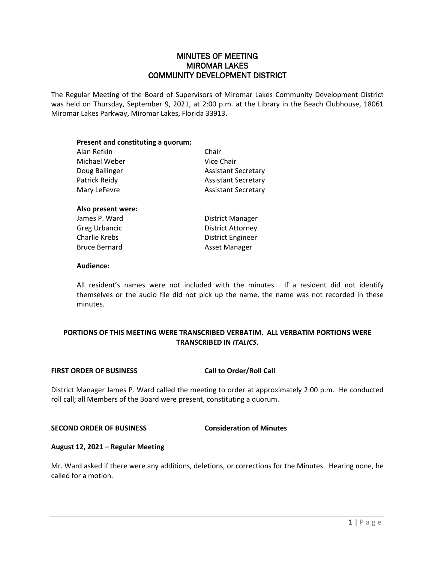# MINUTES OF MEETING MIROMAR LAKES COMMUNITY DEVELOPMENT DISTRICT

The Regular Meeting of the Board of Supervisors of Miromar Lakes Community Development District was held on Thursday, September 9, 2021, at 2:00 p.m. at the Library in the Beach Clubhouse, 18061 Miromar Lakes Parkway, Miromar Lakes, Florida 33913.

| Present and constituting a quorum: |                            |
|------------------------------------|----------------------------|
| Alan Refkin                        | Chair                      |
| Michael Weber                      | Vice Chair                 |
| Doug Ballinger                     | <b>Assistant Secretary</b> |
| Patrick Reidy                      | <b>Assistant Secretary</b> |
| Mary LeFevre                       | <b>Assistant Secretary</b> |
| Also present were:                 |                            |
| James P. Ward                      | District Manager           |
| <b>Greg Urbancic</b>               | <b>District Attorney</b>   |
| Charlie Krebs                      | District Engineer          |
| <b>Bruce Bernard</b>               | Asset Manager              |

#### **Audience:**

All resident's names were not included with the minutes. If a resident did not identify themselves or the audio file did not pick up the name, the name was not recorded in these minutes.

# **PORTIONS OF THIS MEETING WERE TRANSCRIBED VERBATIM. ALL VERBATIM PORTIONS WERE TRANSCRIBED IN** *ITALICS***.**

# **FIRST ORDER OF BUSINESS Call to Order/Roll Call**

District Manager James P. Ward called the meeting to order at approximately 2:00 p.m. He conducted roll call; all Members of the Board were present, constituting a quorum.

# **SECOND ORDER OF BUSINESS Consideration of Minutes**

# **August 12, 2021 – Regular Meeting**

Mr. Ward asked if there were any additions, deletions, or corrections for the Minutes. Hearing none, he called for a motion.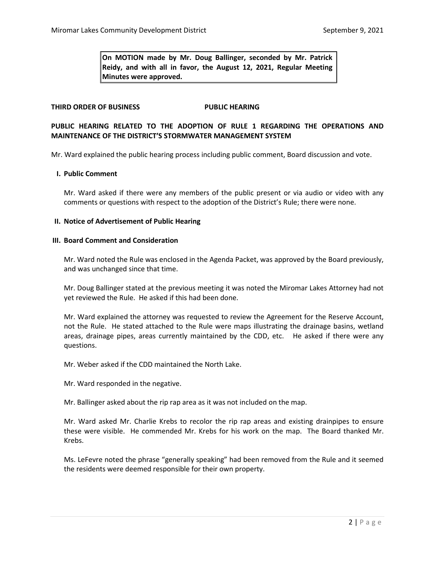**On MOTION made by Mr. Doug Ballinger, seconded by Mr. Patrick Reidy, and with all in favor, the August 12, 2021, Regular Meeting Minutes were approved.** 

# **THIRD ORDER OF BUSINESS PUBLIC HEARING**

# **PUBLIC HEARING RELATED TO THE ADOPTION OF RULE 1 REGARDING THE OPERATIONS AND MAINTENANCE OF THE DISTRICT'S STORMWATER MANAGEMENT SYSTEM**

Mr. Ward explained the public hearing process including public comment, Board discussion and vote.

# **I. Public Comment**

Mr. Ward asked if there were any members of the public present or via audio or video with any comments or questions with respect to the adoption of the District's Rule; there were none.

#### **II. Notice of Advertisement of Public Hearing**

#### **III. Board Comment and Consideration**

Mr. Ward noted the Rule was enclosed in the Agenda Packet, was approved by the Board previously, and was unchanged since that time.

Mr. Doug Ballinger stated at the previous meeting it was noted the Miromar Lakes Attorney had not yet reviewed the Rule. He asked if this had been done.

Mr. Ward explained the attorney was requested to review the Agreement for the Reserve Account, not the Rule. He stated attached to the Rule were maps illustrating the drainage basins, wetland areas, drainage pipes, areas currently maintained by the CDD, etc. He asked if there were any questions.

Mr. Weber asked if the CDD maintained the North Lake.

Mr. Ward responded in the negative.

Mr. Ballinger asked about the rip rap area as it was not included on the map.

Mr. Ward asked Mr. Charlie Krebs to recolor the rip rap areas and existing drainpipes to ensure these were visible. He commended Mr. Krebs for his work on the map. The Board thanked Mr. Krebs.

Ms. LeFevre noted the phrase "generally speaking" had been removed from the Rule and it seemed the residents were deemed responsible for their own property.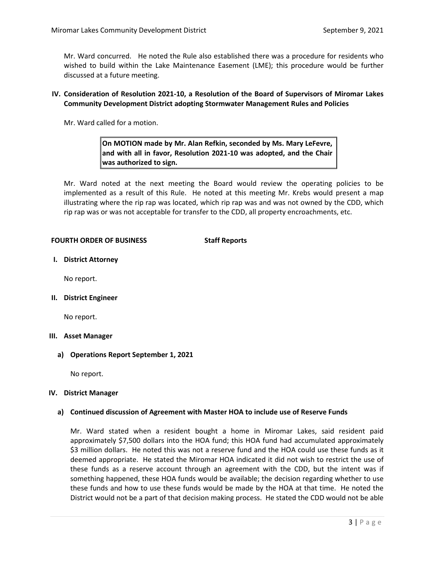Mr. Ward concurred. He noted the Rule also established there was a procedure for residents who wished to build within the Lake Maintenance Easement (LME); this procedure would be further discussed at a future meeting.

# **IV. Consideration of Resolution 2021-10, a Resolution of the Board of Supervisors of Miromar Lakes Community Development District adopting Stormwater Management Rules and Policies**

Mr. Ward called for a motion.

# **On MOTION made by Mr. Alan Refkin, seconded by Ms. Mary LeFevre, and with all in favor, Resolution 2021-10 was adopted, and the Chair was authorized to sign.**

Mr. Ward noted at the next meeting the Board would review the operating policies to be implemented as a result of this Rule. He noted at this meeting Mr. Krebs would present a map illustrating where the rip rap was located, which rip rap was and was not owned by the CDD, which rip rap was or was not acceptable for transfer to the CDD, all property encroachments, etc.

# **FOURTH ORDER OF BUSINESS Staff Reports**

**I. District Attorney**

No report.

**II. District Engineer**

No report.

# **III. Asset Manager**

**a) Operations Report September 1, 2021**

No report.

# **IV. District Manager**

# **a) Continued discussion of Agreement with Master HOA to include use of Reserve Funds**

Mr. Ward stated when a resident bought a home in Miromar Lakes, said resident paid approximately \$7,500 dollars into the HOA fund; this HOA fund had accumulated approximately \$3 million dollars. He noted this was not a reserve fund and the HOA could use these funds as it deemed appropriate. He stated the Miromar HOA indicated it did not wish to restrict the use of these funds as a reserve account through an agreement with the CDD, but the intent was if something happened, these HOA funds would be available; the decision regarding whether to use these funds and how to use these funds would be made by the HOA at that time. He noted the District would not be a part of that decision making process. He stated the CDD would not be able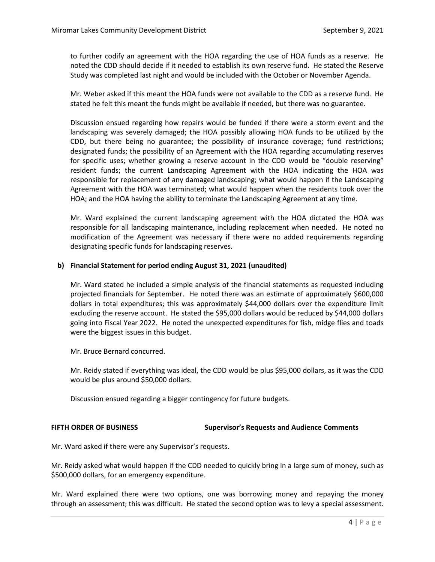to further codify an agreement with the HOA regarding the use of HOA funds as a reserve. He noted the CDD should decide if it needed to establish its own reserve fund. He stated the Reserve Study was completed last night and would be included with the October or November Agenda.

Mr. Weber asked if this meant the HOA funds were not available to the CDD as a reserve fund. He stated he felt this meant the funds might be available if needed, but there was no guarantee.

Discussion ensued regarding how repairs would be funded if there were a storm event and the landscaping was severely damaged; the HOA possibly allowing HOA funds to be utilized by the CDD, but there being no guarantee; the possibility of insurance coverage; fund restrictions; designated funds; the possibility of an Agreement with the HOA regarding accumulating reserves for specific uses; whether growing a reserve account in the CDD would be "double reserving" resident funds; the current Landscaping Agreement with the HOA indicating the HOA was responsible for replacement of any damaged landscaping; what would happen if the Landscaping Agreement with the HOA was terminated; what would happen when the residents took over the HOA; and the HOA having the ability to terminate the Landscaping Agreement at any time.

Mr. Ward explained the current landscaping agreement with the HOA dictated the HOA was responsible for all landscaping maintenance, including replacement when needed. He noted no modification of the Agreement was necessary if there were no added requirements regarding designating specific funds for landscaping reserves.

# **b) Financial Statement for period ending August 31, 2021 (unaudited)**

Mr. Ward stated he included a simple analysis of the financial statements as requested including projected financials for September. He noted there was an estimate of approximately \$600,000 dollars in total expenditures; this was approximately \$44,000 dollars over the expenditure limit excluding the reserve account. He stated the \$95,000 dollars would be reduced by \$44,000 dollars going into Fiscal Year 2022. He noted the unexpected expenditures for fish, midge flies and toads were the biggest issues in this budget.

Mr. Bruce Bernard concurred.

Mr. Reidy stated if everything was ideal, the CDD would be plus \$95,000 dollars, as it was the CDD would be plus around \$50,000 dollars.

Discussion ensued regarding a bigger contingency for future budgets.

# **FIFTH ORDER OF BUSINESS Supervisor's Requests and Audience Comments**

Mr. Ward asked if there were any Supervisor's requests.

Mr. Reidy asked what would happen if the CDD needed to quickly bring in a large sum of money, such as \$500,000 dollars, for an emergency expenditure.

Mr. Ward explained there were two options, one was borrowing money and repaying the money through an assessment; this was difficult. He stated the second option was to levy a special assessment.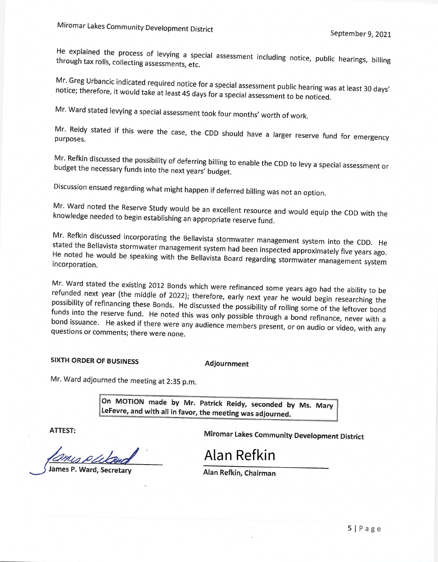He explained the process of levying a special assessment including notice, public hearings, billing<br>through tax rolls, collecting assessments etc through tax rolls, collecting assessments, etc.

Mr. Greg Urbancic indicated required notice for a special assessment public hearing was at least 30 days'<br>notice; therefore, it would take at least 45 days for a special special to the diring was at least 30 days' notice; therefore, it would take at least 45 days for a special assessment to be noticed.

Mr. Ward stated levying a special assessment took four months' worth of work.

Mr. Reidy stated if this were the case, the CDD should have a larger reserve fund for emergency purposes.

Mr. Refkin discussed the possibility of deferring billing to enable the CDD to levy a special assessment or budget the necessary funds into the next years' budget.

Discussion ensued regarding what might happen if deferred billing was not an option.

Mr. Ward noted the Reserve Study would be an excellent resource and would equip the CDD with the knowledge needed to begin establishing an appropriate reserve fund.

Mr. Refkin discussed incorporating the Bellavista stormwater management system into the CDD. He stated the Bellavista stormwater management system had been inspected approximately five years ago.<br>He noted he would be speaking with the Bellavista Barry in the composition of the vears ago. He noted he would be speaking with the Bellavista Board regarding stormwater management system<br>incorporation. incorporation.

Mr. Ward stated the existing 2012 Bonds which were refinanced some years ago had the ability to be refunded next year (the middle of 2022), therefore a subsetional some years ago had the ability to be refunded next year (the middle of 2022); therefore, early next year he would begin researching the<br>possibility of refinancing these Bonds. He discussed the window with a would begin researching the possibility of refinancing these Bonds. He discussed the possibility of rolling some of the leftover bond<br>funds into the reserve fund. He poted this was sale with the literature of the leftover bond funds into the reserve fund. He noted this was only possible through a bond refinance, never with a<br>bond issuance. He asked if there was only and introversed in the bond refinance, never with a bond issuance. He asked if there were any audience members present, or on audio or video, with any<br>questions or comments: there were none. questions or comments; there were none.

# **SIXTH ORDER OF BUSINESS**

**Adjournment** 

Mr. Ward adjourned the meeting at 2:35 p.m.

On MOTION made by Mr. Patrick Reidy, seconded by Ms. Mary LeFevre, and with all in favor, the meeting was adjourned.

**ATTEST:** 

**Miromar Lakes Community Development District** 

James P. Ward, Secretary

Alan Refkin, Chairman

Alan Refkin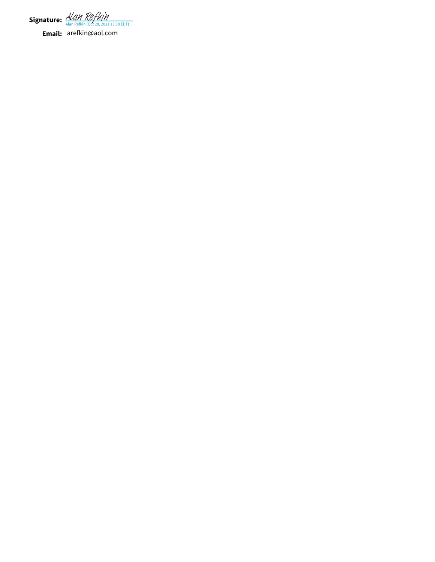Signature: <u>[Alan Refkin](https://na2.documents.adobe.com/verifier?tx=CBJCHBCAABAAf9u9DShIL-vYYyXcb2E68pFBet5LIcnn) (Oct 20, 2021 13:38 EDT)</u>

**Email:** arefkin@aol.com